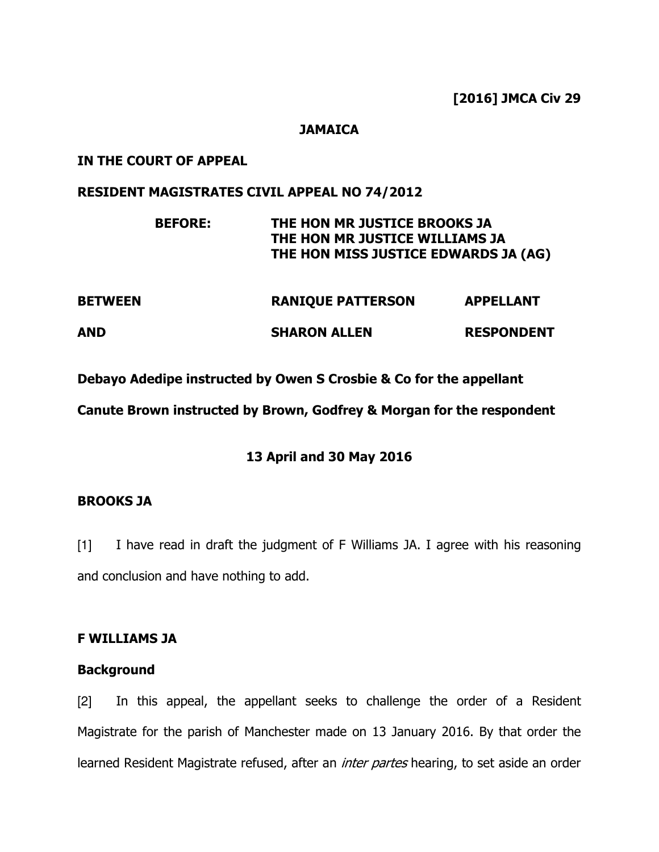[2016] JMCA Civ 29

#### **JAMAICA**

#### IN THE COURT OF APPEAL

#### RESIDENT MAGISTRATES CIVIL APPEAL NO 74/2012

|                | <b>BEFORE:</b> | THE HON MR JUSTICE BROOKS JA<br>THE HON MR JUSTICE WILLIAMS JA<br>THE HON MISS JUSTICE EDWARDS JA (AG) |                   |
|----------------|----------------|--------------------------------------------------------------------------------------------------------|-------------------|
| <b>BETWEEN</b> |                | <b>RANIQUE PATTERSON</b>                                                                               | <b>APPELLANT</b>  |
| AND            |                | <b>SHARON ALLEN</b>                                                                                    | <b>RESPONDENT</b> |
|                |                |                                                                                                        |                   |

Debayo Adedipe instructed by Owen S Crosbie & Co for the appellant

Canute Brown instructed by Brown, Godfrey & Morgan for the respondent

# 13 April and 30 May 2016

## BROOKS JA

[1] I have read in draft the judgment of F Williams JA. I agree with his reasoning and conclusion and have nothing to add.

## F WILLIAMS JA

## **Background**

[2] In this appeal, the appellant seeks to challenge the order of a Resident Magistrate for the parish of Manchester made on 13 January 2016. By that order the learned Resident Magistrate refused, after an *inter partes* hearing, to set aside an order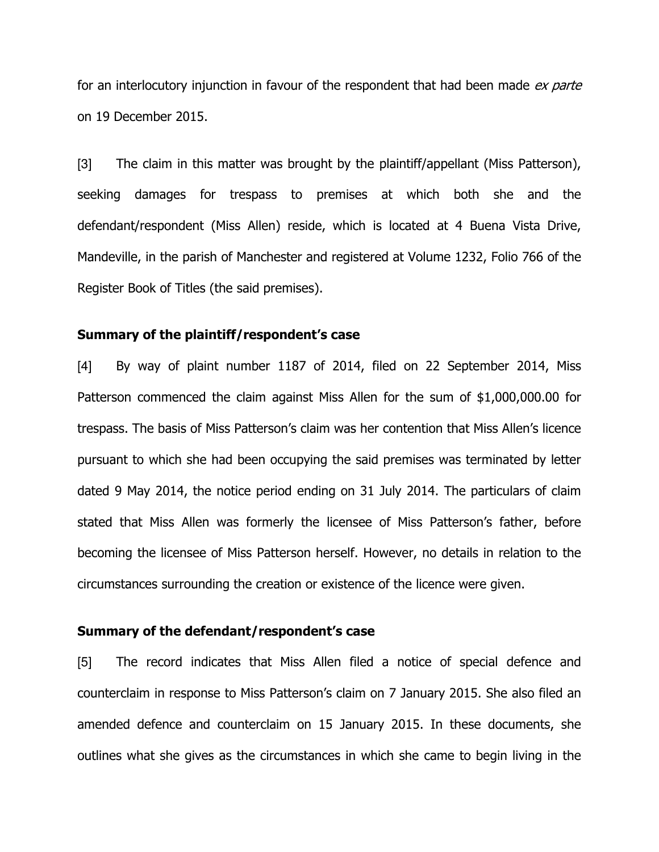for an interlocutory injunction in favour of the respondent that had been made ex parte on 19 December 2015.

[3] The claim in this matter was brought by the plaintiff/appellant (Miss Patterson), seeking damages for trespass to premises at which both she and the defendant/respondent (Miss Allen) reside, which is located at 4 Buena Vista Drive, Mandeville, in the parish of Manchester and registered at Volume 1232, Folio 766 of the Register Book of Titles (the said premises).

#### Summary of the plaintiff/respondent's case

[4] By way of plaint number 1187 of 2014, filed on 22 September 2014, Miss Patterson commenced the claim against Miss Allen for the sum of \$1,000,000.00 for trespass. The basis of Miss Patterson's claim was her contention that Miss Allen's licence pursuant to which she had been occupying the said premises was terminated by letter dated 9 May 2014, the notice period ending on 31 July 2014. The particulars of claim stated that Miss Allen was formerly the licensee of Miss Patterson's father, before becoming the licensee of Miss Patterson herself. However, no details in relation to the circumstances surrounding the creation or existence of the licence were given.

#### Summary of the defendant/respondent's case

[5] The record indicates that Miss Allen filed a notice of special defence and counterclaim in response to Miss Patterson's claim on 7 January 2015. She also filed an amended defence and counterclaim on 15 January 2015. In these documents, she outlines what she gives as the circumstances in which she came to begin living in the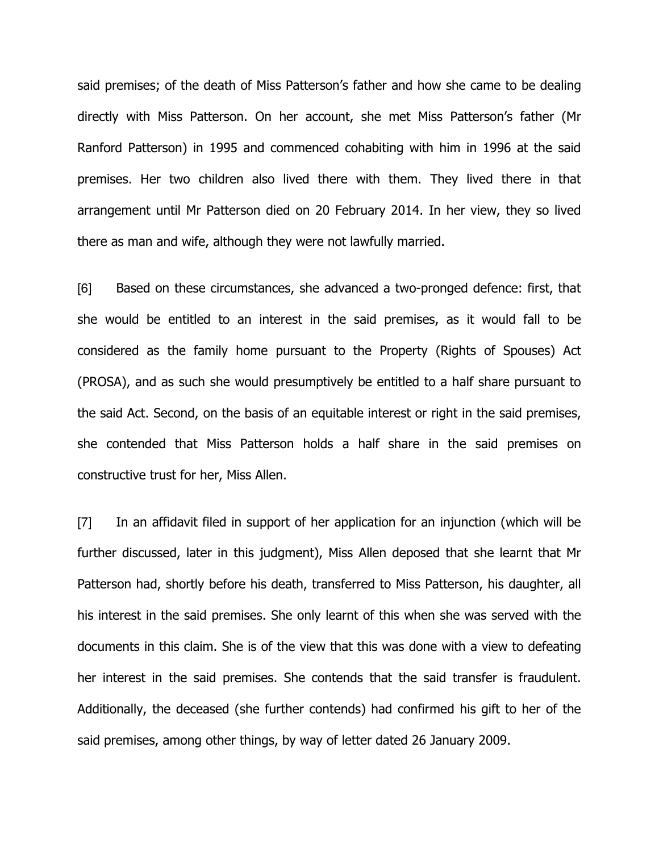said premises; of the death of Miss Patterson's father and how she came to be dealing directly with Miss Patterson. On her account, she met Miss Patterson's father (Mr Ranford Patterson) in 1995 and commenced cohabiting with him in 1996 at the said premises. Her two children also lived there with them. They lived there in that arrangement until Mr Patterson died on 20 February 2014. In her view, they so lived there as man and wife, although they were not lawfully married.

[6] Based on these circumstances, she advanced a two-pronged defence: first, that she would be entitled to an interest in the said premises, as it would fall to be considered as the family home pursuant to the Property (Rights of Spouses) Act (PROSA), and as such she would presumptively be entitled to a half share pursuant to the said Act. Second, on the basis of an equitable interest or right in the said premises, she contended that Miss Patterson holds a half share in the said premises on constructive trust for her, Miss Allen.

[7] In an affidavit filed in support of her application for an injunction (which will be further discussed, later in this judgment), Miss Allen deposed that she learnt that Mr Patterson had, shortly before his death, transferred to Miss Patterson, his daughter, all his interest in the said premises. She only learnt of this when she was served with the documents in this claim. She is of the view that this was done with a view to defeating her interest in the said premises. She contends that the said transfer is fraudulent. Additionally, the deceased (she further contends) had confirmed his gift to her of the said premises, among other things, by way of letter dated 26 January 2009.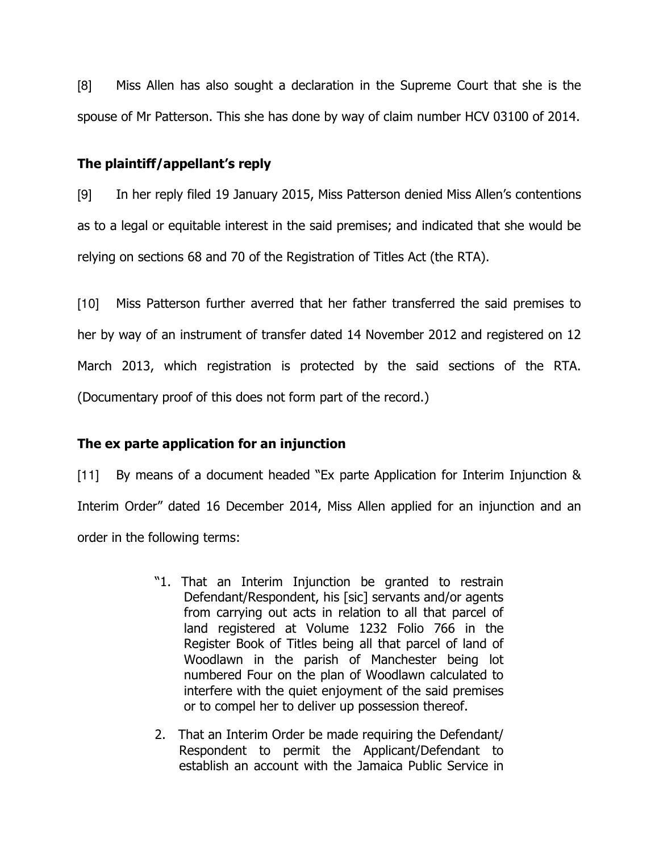[8] Miss Allen has also sought a declaration in the Supreme Court that she is the spouse of Mr Patterson. This she has done by way of claim number HCV 03100 of 2014.

## The plaintiff/appellant's reply

[9] In her reply filed 19 January 2015, Miss Patterson denied Miss Allen's contentions as to a legal or equitable interest in the said premises; and indicated that she would be relying on sections 68 and 70 of the Registration of Titles Act (the RTA).

[10] Miss Patterson further averred that her father transferred the said premises to her by way of an instrument of transfer dated 14 November 2012 and registered on 12 March 2013, which registration is protected by the said sections of the RTA. (Documentary proof of this does not form part of the record.)

# The ex parte application for an injunction

[11] By means of a document headed "Ex parte Application for Interim Injunction & Interim Order" dated 16 December 2014, Miss Allen applied for an injunction and an order in the following terms:

- "1. That an Interim Injunction be granted to restrain Defendant/Respondent, his [sic] servants and/or agents from carrying out acts in relation to all that parcel of land registered at Volume 1232 Folio 766 in the Register Book of Titles being all that parcel of land of Woodlawn in the parish of Manchester being lot numbered Four on the plan of Woodlawn calculated to interfere with the quiet enjoyment of the said premises or to compel her to deliver up possession thereof.
- 2. That an Interim Order be made requiring the Defendant/ Respondent to permit the Applicant/Defendant to establish an account with the Jamaica Public Service in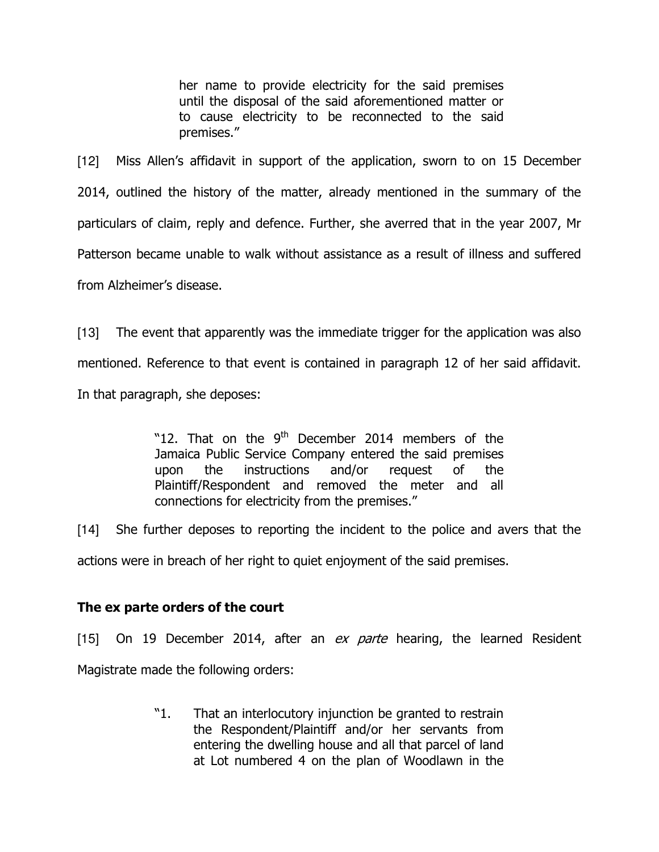her name to provide electricity for the said premises until the disposal of the said aforementioned matter or to cause electricity to be reconnected to the said premises."

[12] Miss Allen's affidavit in support of the application, sworn to on 15 December 2014, outlined the history of the matter, already mentioned in the summary of the particulars of claim, reply and defence. Further, she averred that in the year 2007, Mr Patterson became unable to walk without assistance as a result of illness and suffered from Alzheimer's disease.

[13] The event that apparently was the immediate trigger for the application was also mentioned. Reference to that event is contained in paragraph 12 of her said affidavit. In that paragraph, she deposes:

> "12. That on the  $9<sup>th</sup>$  December 2014 members of the Jamaica Public Service Company entered the said premises upon the instructions and/or request of the Plaintiff/Respondent and removed the meter and all connections for electricity from the premises."

[14] She further deposes to reporting the incident to the police and avers that the actions were in breach of her right to quiet enjoyment of the said premises.

# The ex parte orders of the court

[15] On 19 December 2014, after an  $ex$  parte hearing, the learned Resident Magistrate made the following orders:

> "1. That an interlocutory injunction be granted to restrain the Respondent/Plaintiff and/or her servants from entering the dwelling house and all that parcel of land at Lot numbered 4 on the plan of Woodlawn in the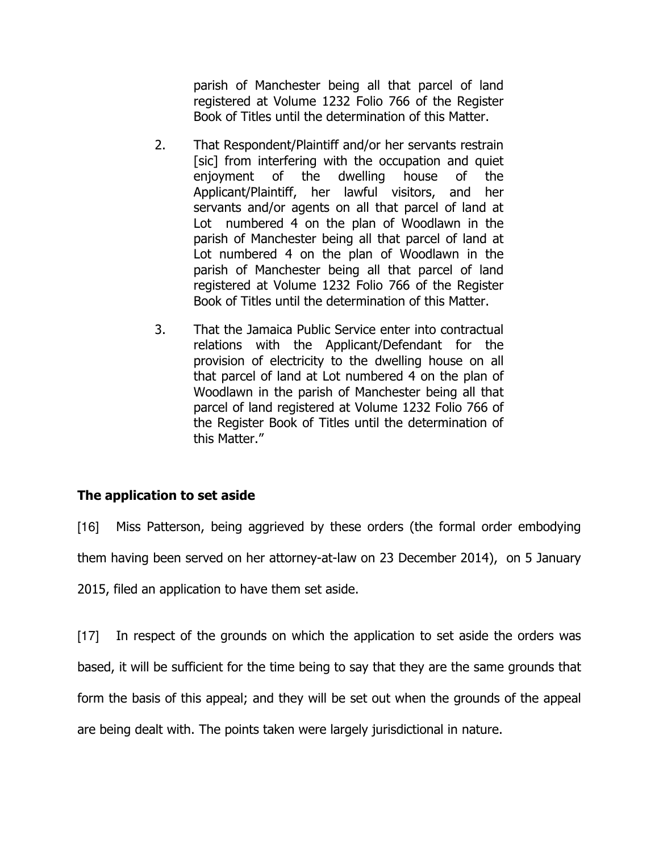parish of Manchester being all that parcel of land registered at Volume 1232 Folio 766 of the Register Book of Titles until the determination of this Matter.

- 2. That Respondent/Plaintiff and/or her servants restrain [sic] from interfering with the occupation and quiet enjoyment of the dwelling house of the Applicant/Plaintiff, her lawful visitors, and her servants and/or agents on all that parcel of land at Lot numbered 4 on the plan of Woodlawn in the parish of Manchester being all that parcel of land at Lot numbered 4 on the plan of Woodlawn in the parish of Manchester being all that parcel of land registered at Volume 1232 Folio 766 of the Register Book of Titles until the determination of this Matter.
- 3. That the Jamaica Public Service enter into contractual relations with the Applicant/Defendant for the provision of electricity to the dwelling house on all that parcel of land at Lot numbered 4 on the plan of Woodlawn in the parish of Manchester being all that parcel of land registered at Volume 1232 Folio 766 of the Register Book of Titles until the determination of this Matter."

# The application to set aside

[16] Miss Patterson, being aggrieved by these orders (the formal order embodying them having been served on her attorney-at-law on 23 December 2014), on 5 January

2015, filed an application to have them set aside.

[17] In respect of the grounds on which the application to set aside the orders was based, it will be sufficient for the time being to say that they are the same grounds that form the basis of this appeal; and they will be set out when the grounds of the appeal are being dealt with. The points taken were largely jurisdictional in nature.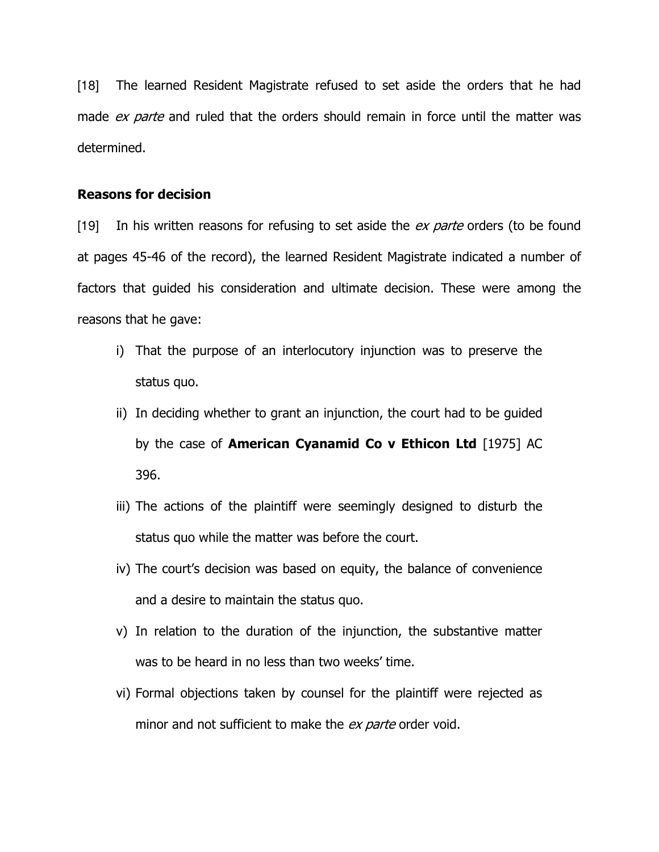[18] The learned Resident Magistrate refused to set aside the orders that he had made ex parte and ruled that the orders should remain in force until the matter was determined.

#### Reasons for decision

[19] In his written reasons for refusing to set aside the  $ex$  parte orders (to be found at pages 45-46 of the record), the learned Resident Magistrate indicated a number of factors that guided his consideration and ultimate decision. These were among the reasons that he gave:

- i) That the purpose of an interlocutory injunction was to preserve the status quo.
- ii) In deciding whether to grant an injunction, the court had to be guided by the case of **American Cyanamid Co v Ethicon Ltd** [1975] AC 396.
- iii) The actions of the plaintiff were seemingly designed to disturb the status quo while the matter was before the court.
- iv) The court's decision was based on equity, the balance of convenience and a desire to maintain the status quo.
- v) In relation to the duration of the injunction, the substantive matter was to be heard in no less than two weeks' time.
- vi) Formal objections taken by counsel for the plaintiff were rejected as minor and not sufficient to make the ex parte order void.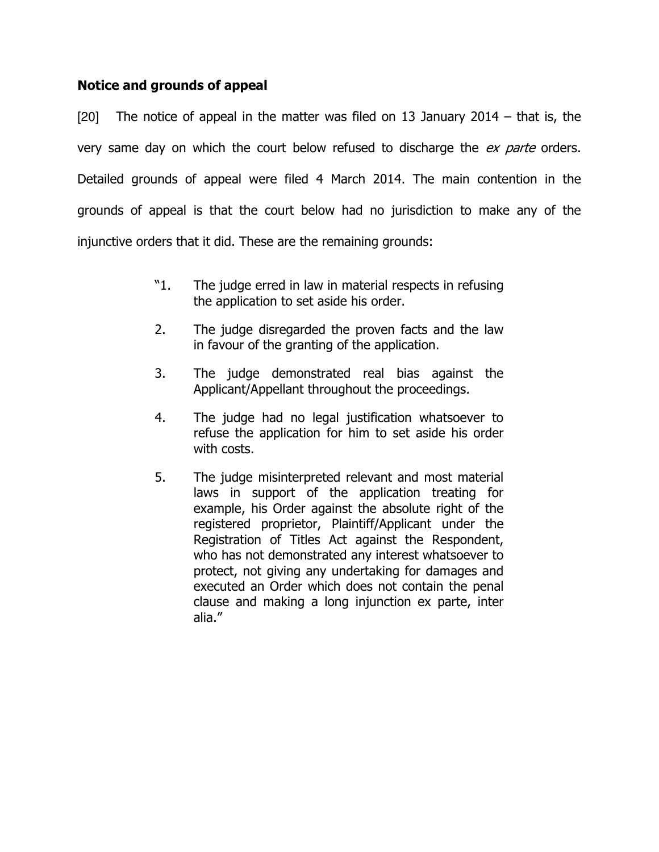## Notice and grounds of appeal

[20] The notice of appeal in the matter was filed on 13 January 2014 – that is, the very same day on which the court below refused to discharge the ex parte orders. Detailed grounds of appeal were filed 4 March 2014. The main contention in the grounds of appeal is that the court below had no jurisdiction to make any of the injunctive orders that it did. These are the remaining grounds:

- "1. The judge erred in law in material respects in refusing the application to set aside his order.
- 2. The judge disregarded the proven facts and the law in favour of the granting of the application.
- 3. The judge demonstrated real bias against the Applicant/Appellant throughout the proceedings.
- 4. The judge had no legal justification whatsoever to refuse the application for him to set aside his order with costs.
- 5. The judge misinterpreted relevant and most material laws in support of the application treating for example, his Order against the absolute right of the registered proprietor, Plaintiff/Applicant under the Registration of Titles Act against the Respondent, who has not demonstrated any interest whatsoever to protect, not giving any undertaking for damages and executed an Order which does not contain the penal clause and making a long injunction ex parte, inter alia."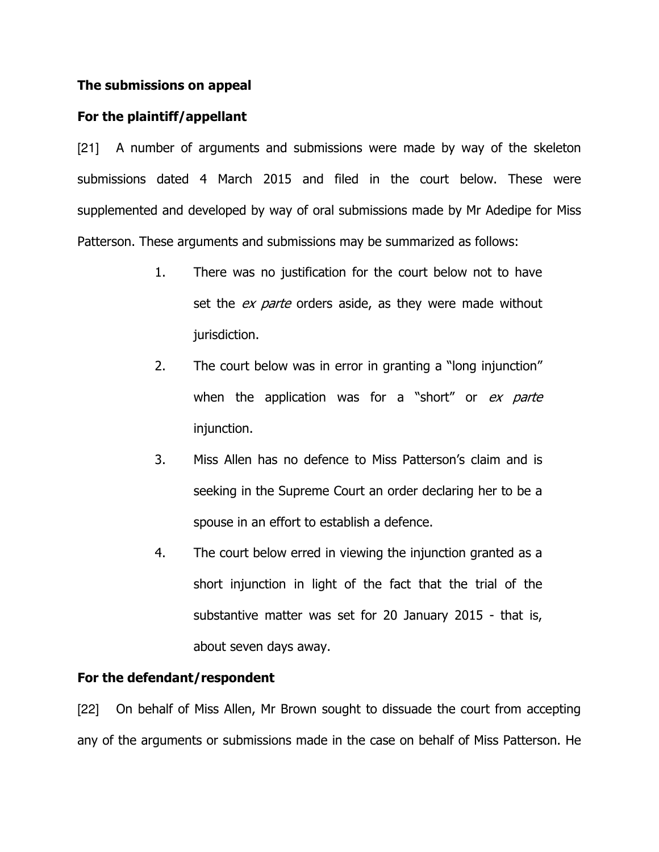#### The submissions on appeal

## For the plaintiff/appellant

[21] A number of arguments and submissions were made by way of the skeleton submissions dated 4 March 2015 and filed in the court below. These were supplemented and developed by way of oral submissions made by Mr Adedipe for Miss Patterson. These arguments and submissions may be summarized as follows:

- 1. There was no justification for the court below not to have set the *ex parte* orders aside, as they were made without jurisdiction.
- 2. The court below was in error in granting a "long injunction" when the application was for a "short" or ex parte injunction.
- 3. Miss Allen has no defence to Miss Patterson's claim and is seeking in the Supreme Court an order declaring her to be a spouse in an effort to establish a defence.
- 4. The court below erred in viewing the injunction granted as a short injunction in light of the fact that the trial of the substantive matter was set for 20 January 2015 - that is, about seven days away.

## For the defendant/respondent

[22] On behalf of Miss Allen, Mr Brown sought to dissuade the court from accepting any of the arguments or submissions made in the case on behalf of Miss Patterson. He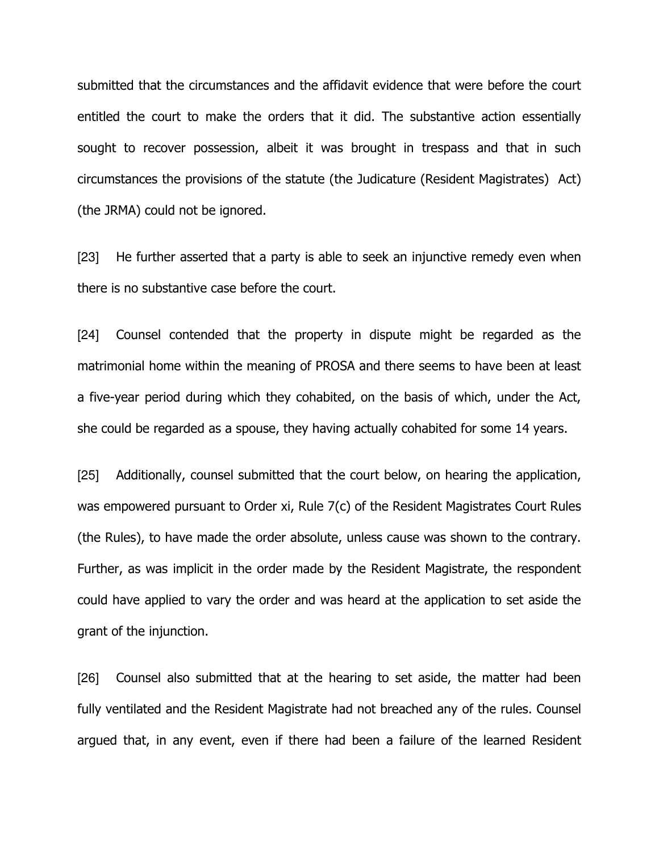submitted that the circumstances and the affidavit evidence that were before the court entitled the court to make the orders that it did. The substantive action essentially sought to recover possession, albeit it was brought in trespass and that in such circumstances the provisions of the statute (the Judicature (Resident Magistrates) Act) (the JRMA) could not be ignored.

[23] He further asserted that a party is able to seek an injunctive remedy even when there is no substantive case before the court.

[24] Counsel contended that the property in dispute might be regarded as the matrimonial home within the meaning of PROSA and there seems to have been at least a five-year period during which they cohabited, on the basis of which, under the Act, she could be regarded as a spouse, they having actually cohabited for some 14 years.

[25] Additionally, counsel submitted that the court below, on hearing the application, was empowered pursuant to Order xi, Rule 7(c) of the Resident Magistrates Court Rules (the Rules), to have made the order absolute, unless cause was shown to the contrary. Further, as was implicit in the order made by the Resident Magistrate, the respondent could have applied to vary the order and was heard at the application to set aside the grant of the injunction.

[26] Counsel also submitted that at the hearing to set aside, the matter had been fully ventilated and the Resident Magistrate had not breached any of the rules. Counsel argued that, in any event, even if there had been a failure of the learned Resident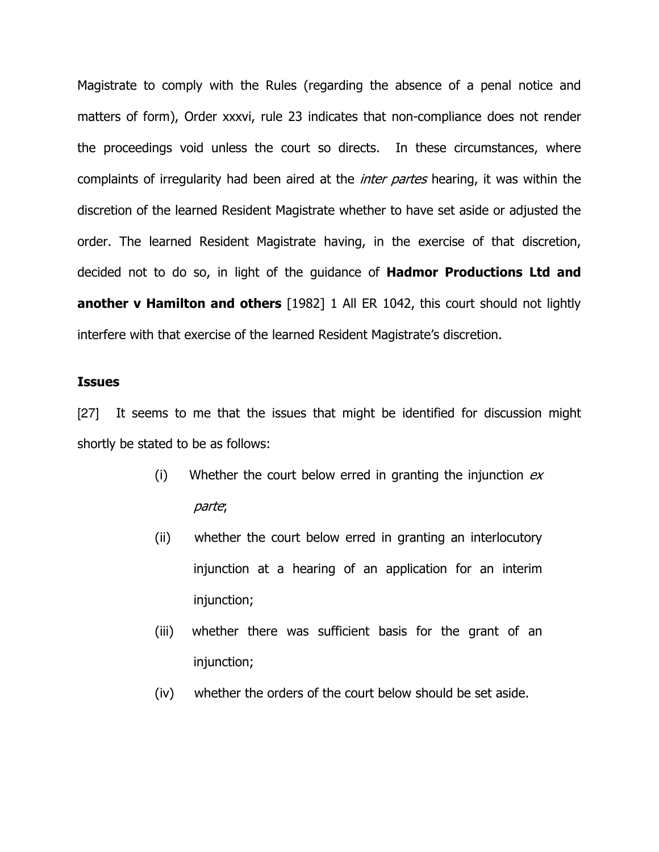Magistrate to comply with the Rules (regarding the absence of a penal notice and matters of form), Order xxxvi, rule 23 indicates that non-compliance does not render the proceedings void unless the court so directs. In these circumstances, where complaints of irregularity had been aired at the *inter partes* hearing, it was within the discretion of the learned Resident Magistrate whether to have set aside or adjusted the order. The learned Resident Magistrate having, in the exercise of that discretion, decided not to do so, in light of the guidance of **Hadmor Productions Ltd and** another v Hamilton and others [1982] 1 All ER 1042, this court should not lightly interfere with that exercise of the learned Resident Magistrate's discretion.

#### Issues

[27] It seems to me that the issues that might be identified for discussion might shortly be stated to be as follows:

- (i) Whether the court below erred in granting the injunction  $ex$ parte;
- (ii) whether the court below erred in granting an interlocutory injunction at a hearing of an application for an interim injunction;
- (iii) whether there was sufficient basis for the grant of an injunction;
- (iv) whether the orders of the court below should be set aside.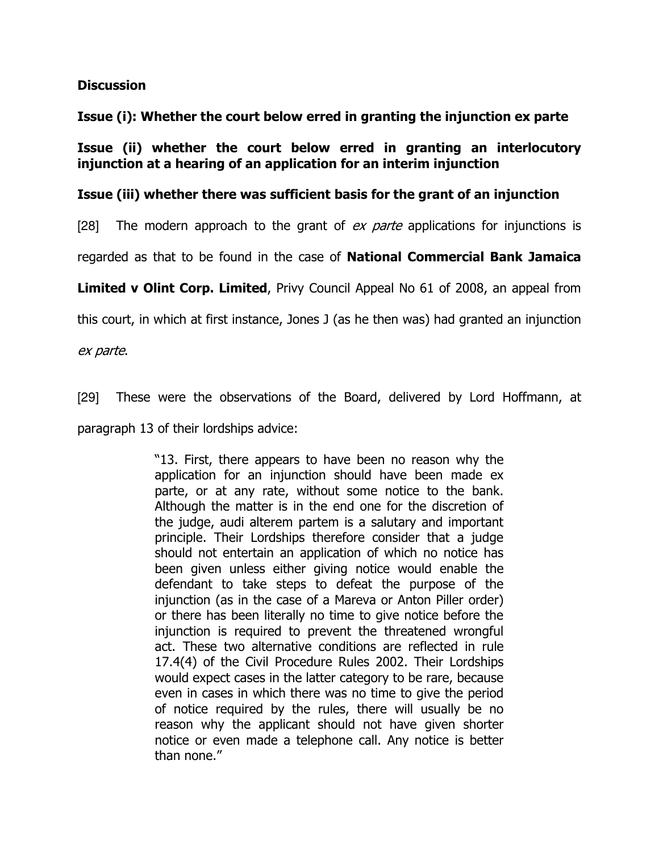#### **Discussion**

Issue (i): Whether the court below erred in granting the injunction ex parte

Issue (ii) whether the court below erred in granting an interlocutory injunction at a hearing of an application for an interim injunction

## Issue (iii) whether there was sufficient basis for the grant of an injunction

[28] The modern approach to the grant of  $ex$  parte applications for injunctions is

regarded as that to be found in the case of National Commercial Bank Jamaica

Limited v Olint Corp. Limited, Privy Council Appeal No 61 of 2008, an appeal from

this court, in which at first instance, Jones J (as he then was) had granted an injunction

ex parte.

[29] These were the observations of the Board, delivered by Lord Hoffmann, at

paragraph 13 of their lordships advice:

"13. First, there appears to have been no reason why the application for an injunction should have been made ex parte, or at any rate, without some notice to the bank. Although the matter is in the end one for the discretion of the judge, audi alterem partem is a salutary and important principle. Their Lordships therefore consider that a judge should not entertain an application of which no notice has been given unless either giving notice would enable the defendant to take steps to defeat the purpose of the injunction (as in the case of a Mareva or Anton Piller order) or there has been literally no time to give notice before the injunction is required to prevent the threatened wrongful act. These two alternative conditions are reflected in rule 17.4(4) of the Civil Procedure Rules 2002. Their Lordships would expect cases in the latter category to be rare, because even in cases in which there was no time to give the period of notice required by the rules, there will usually be no reason why the applicant should not have given shorter notice or even made a telephone call. Any notice is better than none."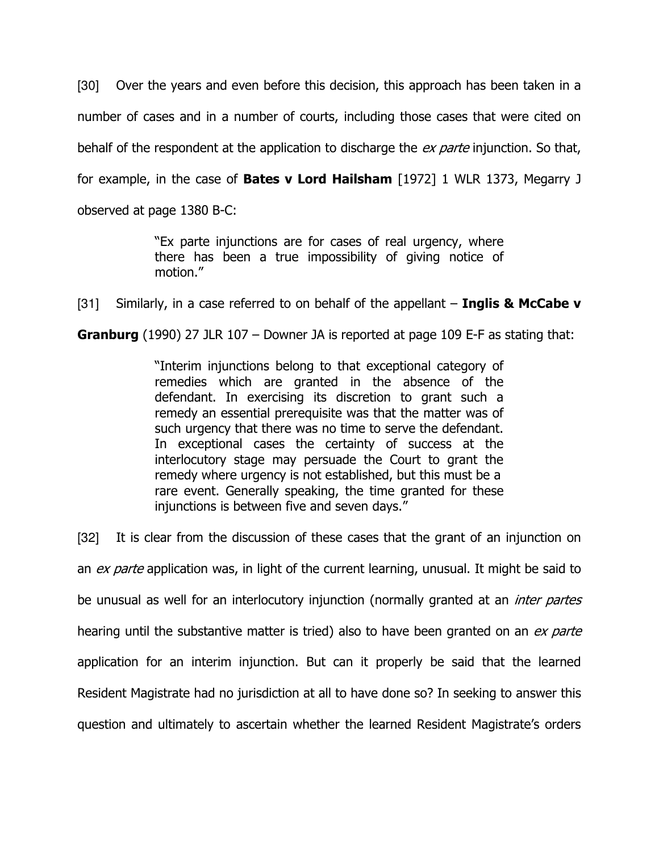[30] Over the years and even before this decision, this approach has been taken in a number of cases and in a number of courts, including those cases that were cited on behalf of the respondent at the application to discharge the ex parte injunction. So that, for example, in the case of **Bates v Lord Hailsham** [1972] 1 WLR 1373, Megarry J observed at page 1380 B-C:

> "Ex parte injunctions are for cases of real urgency, where there has been a true impossibility of giving notice of motion."

[31] Similarly, in a case referred to on behalf of the appellant  $-$  Inglis & McCabe v

Granburg (1990) 27 JLR 107 - Downer JA is reported at page 109 E-F as stating that:

"Interim injunctions belong to that exceptional category of remedies which are granted in the absence of the defendant. In exercising its discretion to grant such a remedy an essential prerequisite was that the matter was of such urgency that there was no time to serve the defendant. In exceptional cases the certainty of success at the interlocutory stage may persuade the Court to grant the remedy where urgency is not established, but this must be a rare event. Generally speaking, the time granted for these injunctions is between five and seven days."

[32] It is clear from the discussion of these cases that the grant of an injunction on an *ex parte* application was, in light of the current learning, unusual. It might be said to be unusual as well for an interlocutory injunction (normally granted at an *inter partes* hearing until the substantive matter is tried) also to have been granted on an ex parte application for an interim injunction. But can it properly be said that the learned Resident Magistrate had no jurisdiction at all to have done so? In seeking to answer this question and ultimately to ascertain whether the learned Resident Magistrate's orders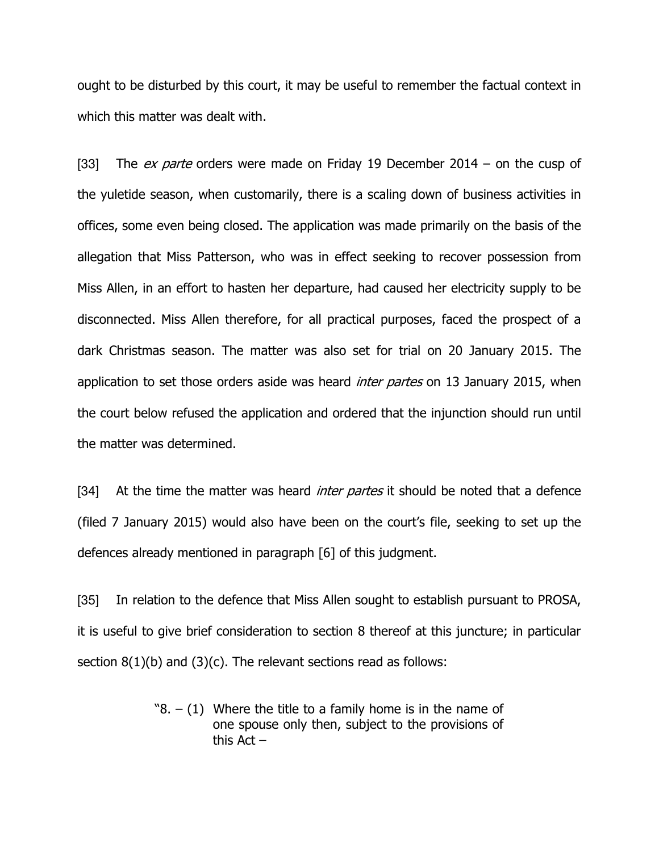ought to be disturbed by this court, it may be useful to remember the factual context in which this matter was dealt with.

[33] The *ex parte* orders were made on Friday 19 December 2014 – on the cusp of the yuletide season, when customarily, there is a scaling down of business activities in offices, some even being closed. The application was made primarily on the basis of the allegation that Miss Patterson, who was in effect seeking to recover possession from Miss Allen, in an effort to hasten her departure, had caused her electricity supply to be disconnected. Miss Allen therefore, for all practical purposes, faced the prospect of a dark Christmas season. The matter was also set for trial on 20 January 2015. The application to set those orders aside was heard *inter partes* on 13 January 2015, when the court below refused the application and ordered that the injunction should run until the matter was determined.

[34] At the time the matter was heard *inter partes* it should be noted that a defence (filed 7 January 2015) would also have been on the court's file, seeking to set up the defences already mentioned in paragraph [6] of this judgment.

[35] In relation to the defence that Miss Allen sought to establish pursuant to PROSA, it is useful to give brief consideration to section 8 thereof at this juncture; in particular section  $8(1)(b)$  and  $(3)(c)$ . The relevant sections read as follows:

> $\degree$ 8. – (1) Where the title to a family home is in the name of one spouse only then, subject to the provisions of this Act –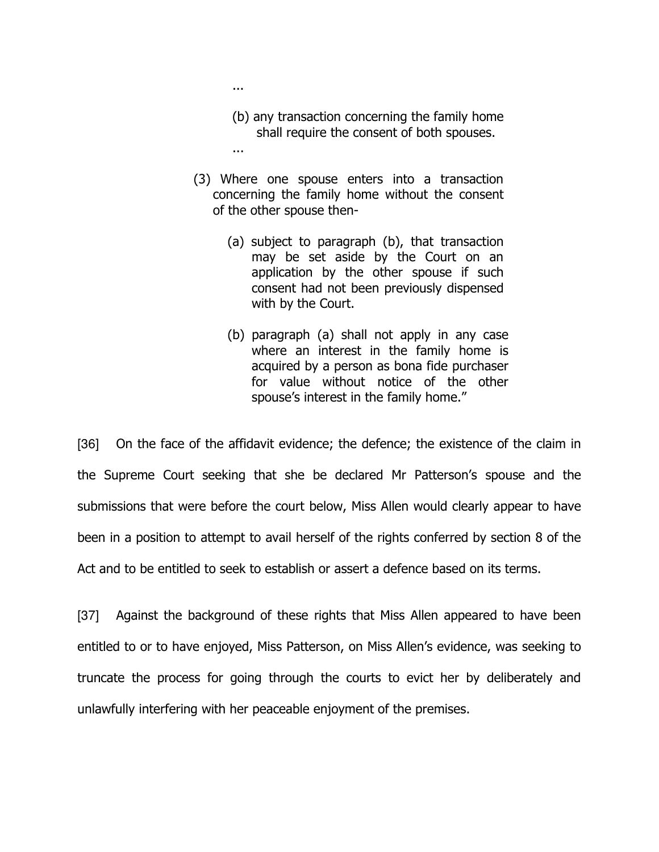- (b) any transaction concerning the family home shall require the consent of both spouses.
- ...
	- (3) Where one spouse enters into a transaction concerning the family home without the consent of the other spouse then-
		- (a) subject to paragraph (b), that transaction may be set aside by the Court on an application by the other spouse if such consent had not been previously dispensed with by the Court.
		- (b) paragraph (a) shall not apply in any case where an interest in the family home is acquired by a person as bona fide purchaser for value without notice of the other spouse's interest in the family home."

[36] On the face of the affidavit evidence; the defence; the existence of the claim in the Supreme Court seeking that she be declared Mr Patterson's spouse and the submissions that were before the court below, Miss Allen would clearly appear to have been in a position to attempt to avail herself of the rights conferred by section 8 of the Act and to be entitled to seek to establish or assert a defence based on its terms.

[37] Against the background of these rights that Miss Allen appeared to have been entitled to or to have enjoyed, Miss Patterson, on Miss Allen's evidence, was seeking to truncate the process for going through the courts to evict her by deliberately and unlawfully interfering with her peaceable enjoyment of the premises.

...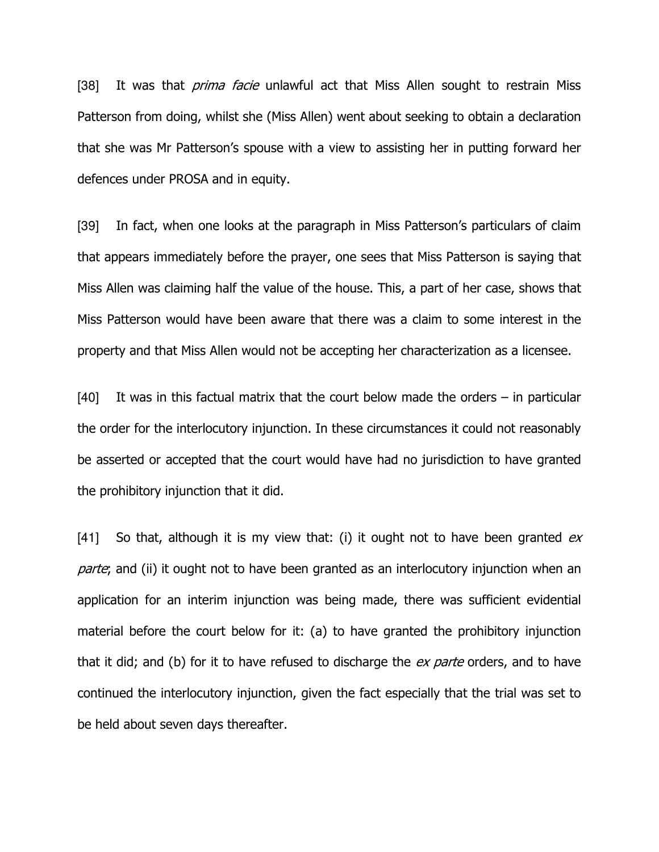[38] It was that *prima facie* unlawful act that Miss Allen sought to restrain Miss Patterson from doing, whilst she (Miss Allen) went about seeking to obtain a declaration that she was Mr Patterson's spouse with a view to assisting her in putting forward her defences under PROSA and in equity.

[39] In fact, when one looks at the paragraph in Miss Patterson's particulars of claim that appears immediately before the prayer, one sees that Miss Patterson is saying that Miss Allen was claiming half the value of the house. This, a part of her case, shows that Miss Patterson would have been aware that there was a claim to some interest in the property and that Miss Allen would not be accepting her characterization as a licensee.

[40] It was in this factual matrix that the court below made the orders – in particular the order for the interlocutory injunction. In these circumstances it could not reasonably be asserted or accepted that the court would have had no jurisdiction to have granted the prohibitory injunction that it did.

[41] So that, although it is my view that: (i) it ought not to have been granted  $ex$ parte; and (ii) it ought not to have been granted as an interlocutory injunction when an application for an interim injunction was being made, there was sufficient evidential material before the court below for it: (a) to have granted the prohibitory injunction that it did; and (b) for it to have refused to discharge the *ex parte* orders, and to have continued the interlocutory injunction, given the fact especially that the trial was set to be held about seven days thereafter.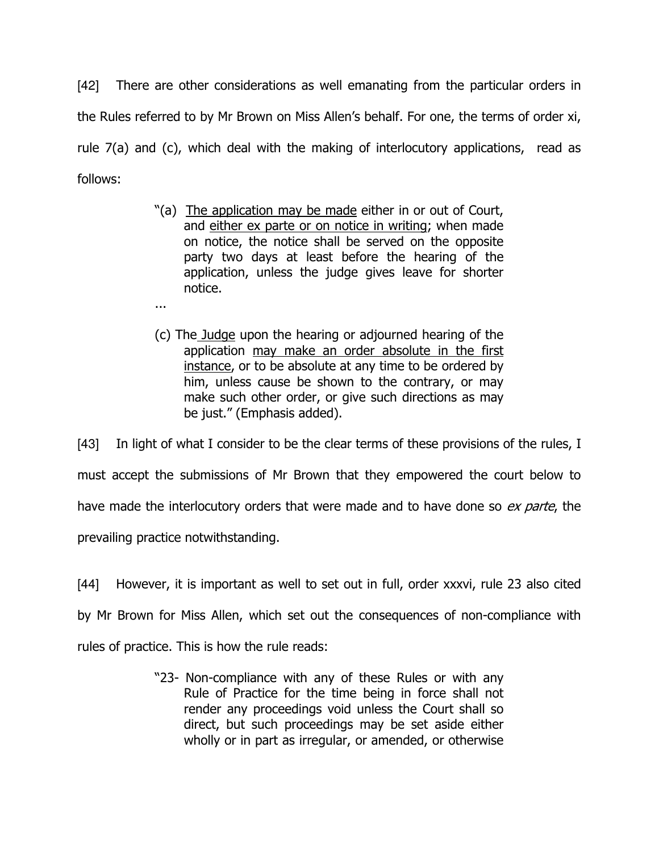[42] There are other considerations as well emanating from the particular orders in the Rules referred to by Mr Brown on Miss Allen's behalf. For one, the terms of order xi, rule 7(a) and (c), which deal with the making of interlocutory applications, read as follows:

- "(a) The application may be made either in or out of Court, and either ex parte or on notice in writing; when made on notice, the notice shall be served on the opposite party two days at least before the hearing of the application, unless the judge gives leave for shorter notice.
- ...
- (c) The Judge upon the hearing or adjourned hearing of the application may make an order absolute in the first instance, or to be absolute at any time to be ordered by him, unless cause be shown to the contrary, or may make such other order, or give such directions as may be just." (Emphasis added).

[43] In light of what I consider to be the clear terms of these provisions of the rules, I must accept the submissions of Mr Brown that they empowered the court below to have made the interlocutory orders that were made and to have done so ex parte, the prevailing practice notwithstanding.

[44] However, it is important as well to set out in full, order xxxvi, rule 23 also cited by Mr Brown for Miss Allen, which set out the consequences of non-compliance with rules of practice. This is how the rule reads:

> "23- Non-compliance with any of these Rules or with any Rule of Practice for the time being in force shall not render any proceedings void unless the Court shall so direct, but such proceedings may be set aside either wholly or in part as irregular, or amended, or otherwise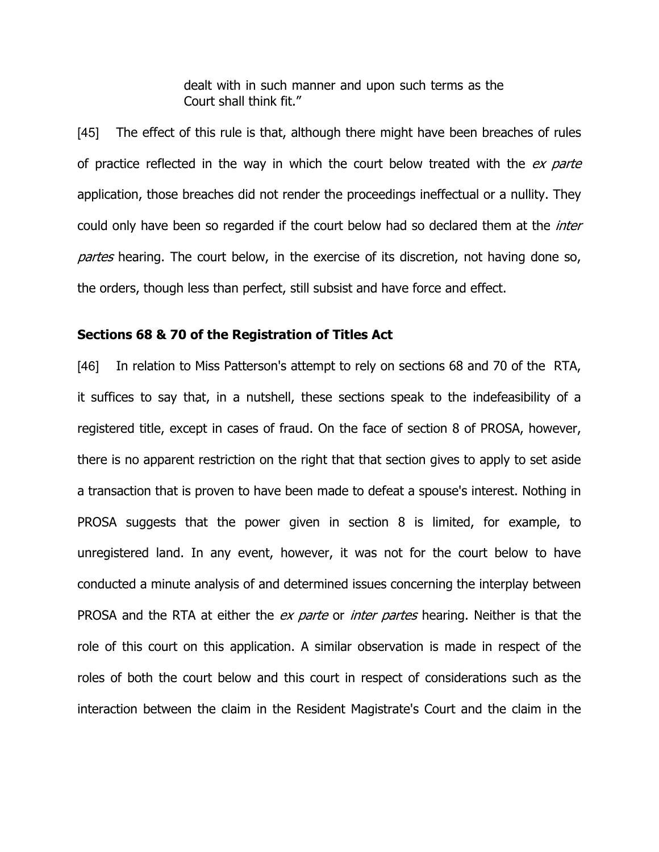dealt with in such manner and upon such terms as the Court shall think fit."

[45] The effect of this rule is that, although there might have been breaches of rules of practice reflected in the way in which the court below treated with the ex parte application, those breaches did not render the proceedings ineffectual or a nullity. They could only have been so regarded if the court below had so declared them at the *inter* partes hearing. The court below, in the exercise of its discretion, not having done so, the orders, though less than perfect, still subsist and have force and effect.

#### Sections 68 & 70 of the Registration of Titles Act

[46] In relation to Miss Patterson's attempt to rely on sections 68 and 70 of the RTA, it suffices to say that, in a nutshell, these sections speak to the indefeasibility of a registered title, except in cases of fraud. On the face of section 8 of PROSA, however, there is no apparent restriction on the right that that section gives to apply to set aside a transaction that is proven to have been made to defeat a spouse's interest. Nothing in PROSA suggests that the power given in section 8 is limited, for example, to unregistered land. In any event, however, it was not for the court below to have conducted a minute analysis of and determined issues concerning the interplay between PROSA and the RTA at either the ex parte or inter partes hearing. Neither is that the role of this court on this application. A similar observation is made in respect of the roles of both the court below and this court in respect of considerations such as the interaction between the claim in the Resident Magistrate's Court and the claim in the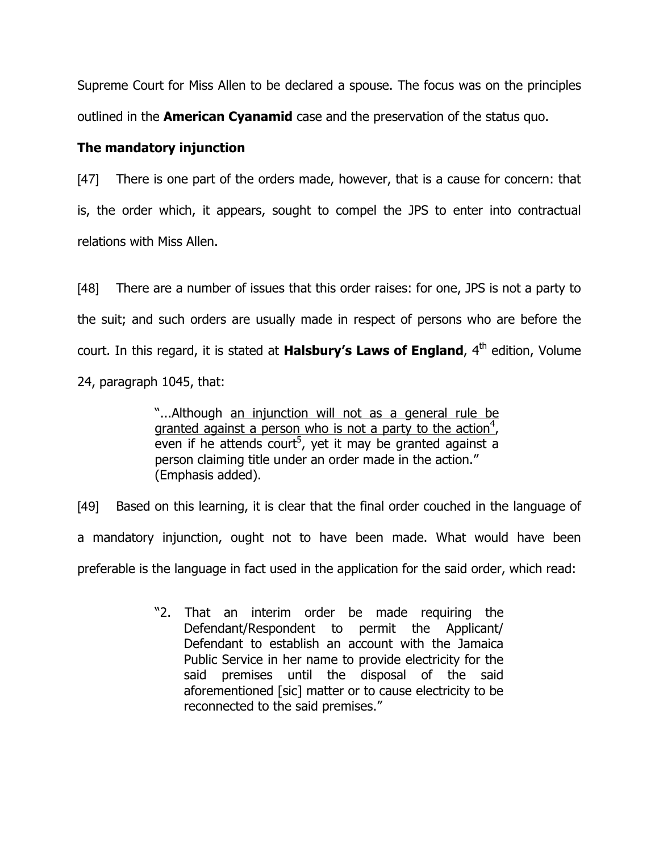Supreme Court for Miss Allen to be declared a spouse. The focus was on the principles outlined in the **American Cyanamid** case and the preservation of the status quo.

## The mandatory injunction

[47] There is one part of the orders made, however, that is a cause for concern: that is, the order which, it appears, sought to compel the JPS to enter into contractual relations with Miss Allen.

[48] There are a number of issues that this order raises: for one, JPS is not a party to the suit; and such orders are usually made in respect of persons who are before the court. In this regard, it is stated at **Halsbury's Laws of England**,  $4<sup>th</sup>$  edition, Volume 24, paragraph 1045, that:

> "...Although an injunction will not as a general rule be granted against a person who is not a party to the action<sup>4</sup>, even if he attends court<sup>5</sup>, yet it may be granted against a person claiming title under an order made in the action." (Emphasis added).

[49] Based on this learning, it is clear that the final order couched in the language of a mandatory injunction, ought not to have been made. What would have been preferable is the language in fact used in the application for the said order, which read:

> "2. That an interim order be made requiring the Defendant/Respondent to permit the Applicant/ Defendant to establish an account with the Jamaica Public Service in her name to provide electricity for the said premises until the disposal of the said aforementioned [sic] matter or to cause electricity to be reconnected to the said premises."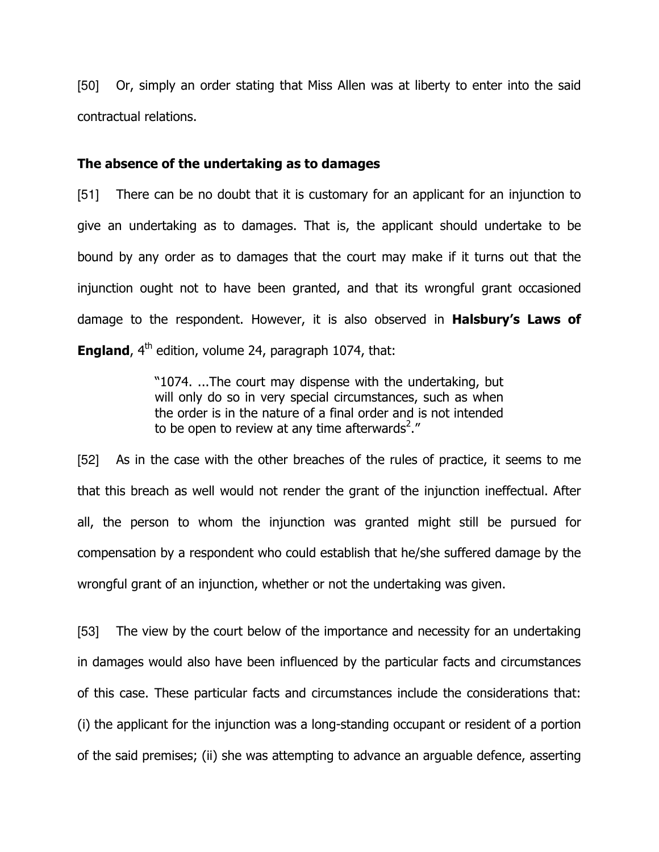[50] Or, simply an order stating that Miss Allen was at liberty to enter into the said contractual relations.

#### The absence of the undertaking as to damages

[51] There can be no doubt that it is customary for an applicant for an injunction to give an undertaking as to damages. That is, the applicant should undertake to be bound by any order as to damages that the court may make if it turns out that the injunction ought not to have been granted, and that its wrongful grant occasioned damage to the respondent. However, it is also observed in **Halsbury's Laws of England**,  $4<sup>th</sup>$  edition, volume 24, paragraph 1074, that:

> "1074. ...The court may dispense with the undertaking, but will only do so in very special circumstances, such as when the order is in the nature of a final order and is not intended to be open to review at any time afterwards<sup>2</sup>."

[52] As in the case with the other breaches of the rules of practice, it seems to me that this breach as well would not render the grant of the injunction ineffectual. After all, the person to whom the injunction was granted might still be pursued for compensation by a respondent who could establish that he/she suffered damage by the wrongful grant of an injunction, whether or not the undertaking was given.

[53] The view by the court below of the importance and necessity for an undertaking in damages would also have been influenced by the particular facts and circumstances of this case. These particular facts and circumstances include the considerations that: (i) the applicant for the injunction was a long-standing occupant or resident of a portion of the said premises; (ii) she was attempting to advance an arguable defence, asserting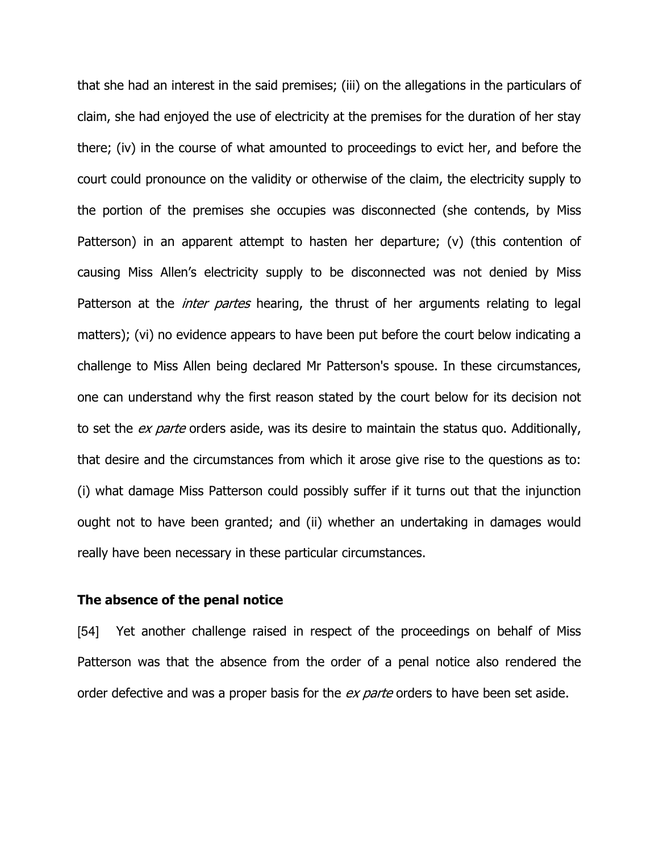that she had an interest in the said premises; (iii) on the allegations in the particulars of claim, she had enjoyed the use of electricity at the premises for the duration of her stay there; (iv) in the course of what amounted to proceedings to evict her, and before the court could pronounce on the validity or otherwise of the claim, the electricity supply to the portion of the premises she occupies was disconnected (she contends, by Miss Patterson) in an apparent attempt to hasten her departure; (v) (this contention of causing Miss Allen's electricity supply to be disconnected was not denied by Miss Patterson at the *inter partes* hearing, the thrust of her arguments relating to legal matters); (vi) no evidence appears to have been put before the court below indicating a challenge to Miss Allen being declared Mr Patterson's spouse. In these circumstances, one can understand why the first reason stated by the court below for its decision not to set the *ex parte* orders aside, was its desire to maintain the status quo. Additionally, that desire and the circumstances from which it arose give rise to the questions as to: (i) what damage Miss Patterson could possibly suffer if it turns out that the injunction ought not to have been granted; and (ii) whether an undertaking in damages would really have been necessary in these particular circumstances.

#### The absence of the penal notice

[54] Yet another challenge raised in respect of the proceedings on behalf of Miss Patterson was that the absence from the order of a penal notice also rendered the order defective and was a proper basis for the ex parte orders to have been set aside.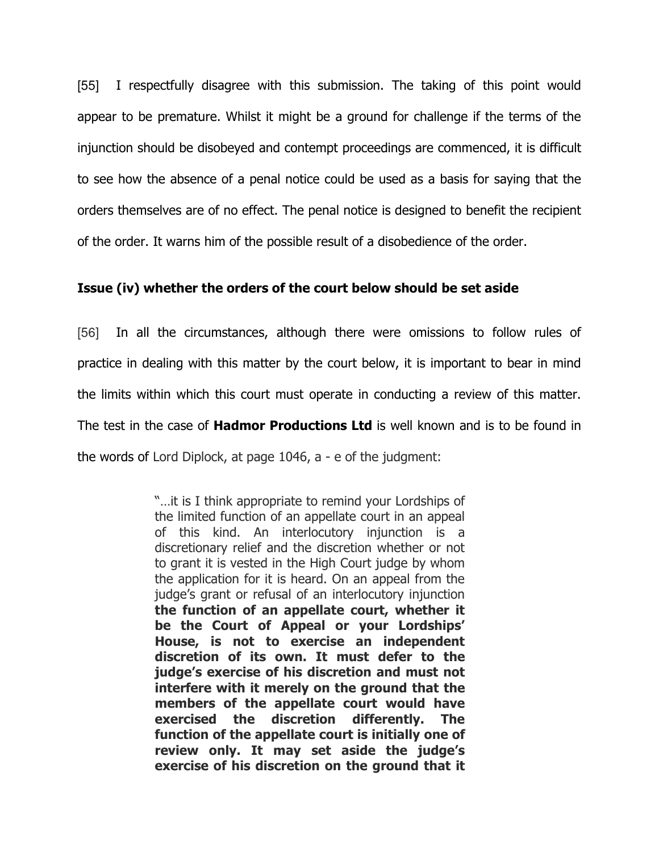[55] I respectfully disagree with this submission. The taking of this point would appear to be premature. Whilst it might be a ground for challenge if the terms of the injunction should be disobeyed and contempt proceedings are commenced, it is difficult to see how the absence of a penal notice could be used as a basis for saying that the orders themselves are of no effect. The penal notice is designed to benefit the recipient of the order. It warns him of the possible result of a disobedience of the order.

## Issue (iv) whether the orders of the court below should be set aside

[56] In all the circumstances, although there were omissions to follow rules of practice in dealing with this matter by the court below, it is important to bear in mind the limits within which this court must operate in conducting a review of this matter. The test in the case of **Hadmor Productions Ltd** is well known and is to be found in the words of Lord Diplock, at page 1046, a - e of the judgment:

> "…it is I think appropriate to remind your Lordships of the limited function of an appellate court in an appeal of this kind. An interlocutory injunction is a discretionary relief and the discretion whether or not to grant it is vested in the High Court judge by whom the application for it is heard. On an appeal from the judge's grant or refusal of an interlocutory injunction the function of an appellate court, whether it be the Court of Appeal or your Lordships' House, is not to exercise an independent discretion of its own. It must defer to the judge's exercise of his discretion and must not interfere with it merely on the ground that the members of the appellate court would have exercised the discretion differently. The function of the appellate court is initially one of review only. It may set aside the judge's exercise of his discretion on the ground that it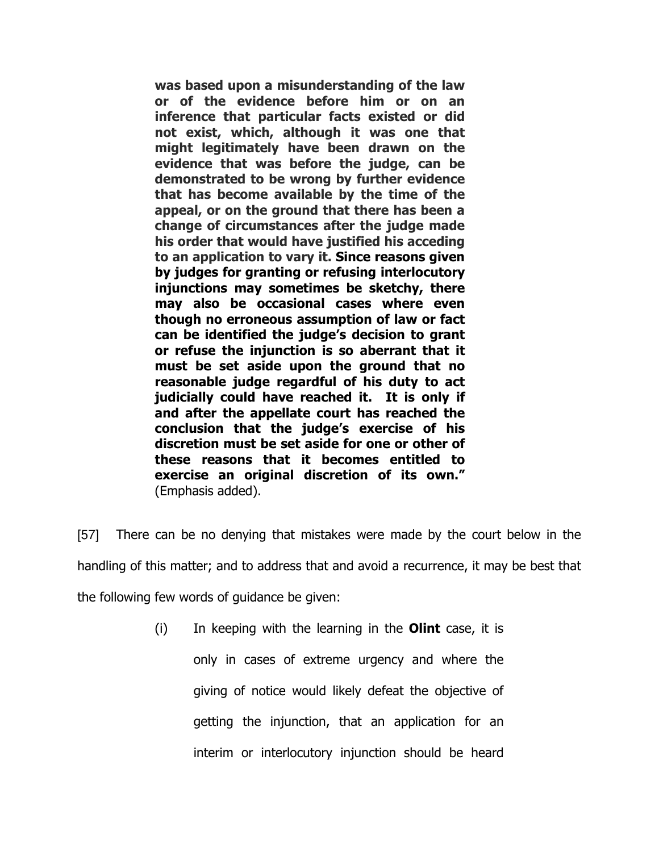was based upon a misunderstanding of the law or of the evidence before him or on an inference that particular facts existed or did not exist, which, although it was one that might legitimately have been drawn on the evidence that was before the judge, can be demonstrated to be wrong by further evidence that has become available by the time of the appeal, or on the ground that there has been a change of circumstances after the judge made his order that would have justified his acceding to an application to vary it. Since reasons given by judges for granting or refusing interlocutory injunctions may sometimes be sketchy, there may also be occasional cases where even though no erroneous assumption of law or fact can be identified the judge's decision to grant or refuse the injunction is so aberrant that it must be set aside upon the ground that no reasonable judge regardful of his duty to act judicially could have reached it. It is only if and after the appellate court has reached the conclusion that the judge's exercise of his discretion must be set aside for one or other of these reasons that it becomes entitled to exercise an original discretion of its own." (Emphasis added).

[57] There can be no denying that mistakes were made by the court below in the handling of this matter; and to address that and avoid a recurrence, it may be best that the following few words of guidance be given:

> $(i)$  In keeping with the learning in the **Olint** case, it is only in cases of extreme urgency and where the giving of notice would likely defeat the objective of getting the injunction, that an application for an interim or interlocutory injunction should be heard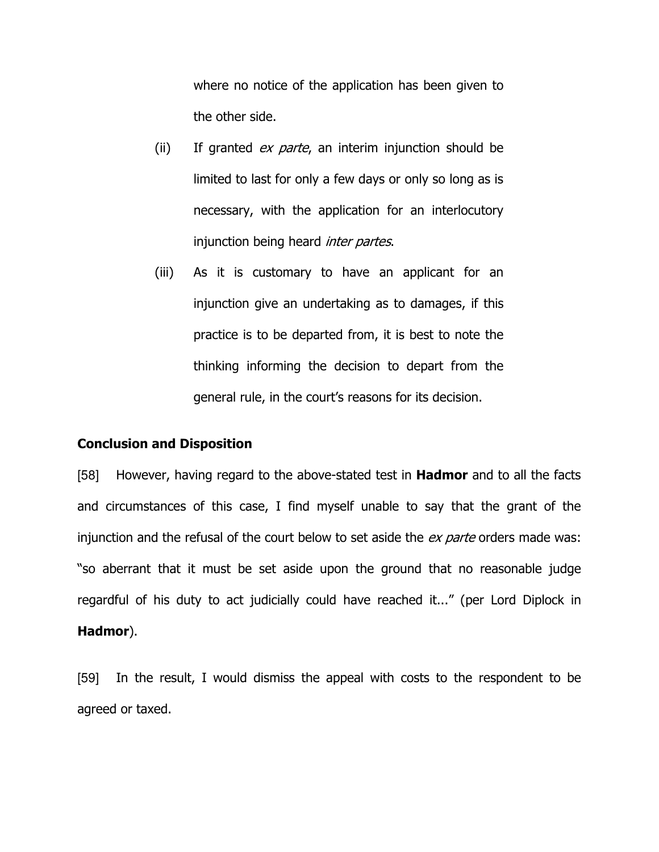where no notice of the application has been given to the other side.

- (ii) If granted  $ex$  parte, an interim injunction should be limited to last for only a few days or only so long as is necessary, with the application for an interlocutory injunction being heard *inter partes*.
- (iii) As it is customary to have an applicant for an injunction give an undertaking as to damages, if this practice is to be departed from, it is best to note the thinking informing the decision to depart from the general rule, in the court's reasons for its decision.

#### Conclusion and Disposition

[58] However, having regard to the above-stated test in **Hadmor** and to all the facts and circumstances of this case, I find myself unable to say that the grant of the injunction and the refusal of the court below to set aside the ex parte orders made was: "so aberrant that it must be set aside upon the ground that no reasonable judge regardful of his duty to act judicially could have reached it..." (per Lord Diplock in Hadmor).

[59] In the result, I would dismiss the appeal with costs to the respondent to be agreed or taxed.